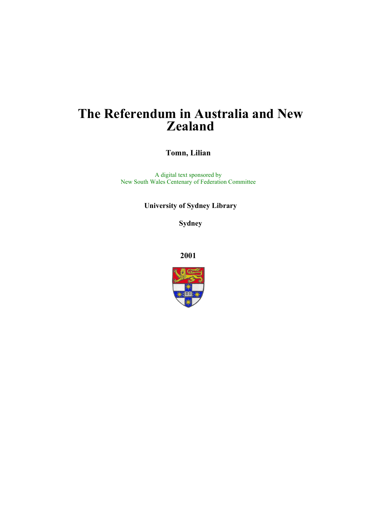# **The Referendum in Australia and New Zealand**

**Tomn, Lilian**

A digital text sponsored by New South Wales Centenary of Federation Committee

**University of Sydney Library** 

**Sydney** 

**2001**

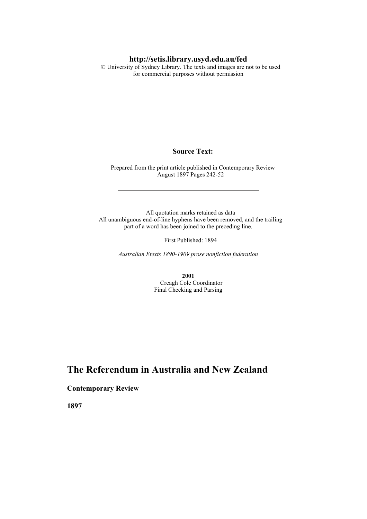### **http://setis.library.usyd.edu.au/fed**

 © University of Sydney Library. The texts and images are not to be used for commercial purposes without permission

#### **Source Text:**

 Prepared from the print article published in Contemporary Review August 1897 Pages 242-52

 All quotation marks retained as data All unambiguous end-of-line hyphens have been removed, and the trailing part of a word has been joined to the preceding line.

First Published: 1894

*Australian Etexts 1890-1909 prose nonfiction federation*

**2001** Creagh Cole Coordinator Final Checking and Parsing

# **The Referendum in Australia and New Zealand**

### **Contemporary Review**

**1897**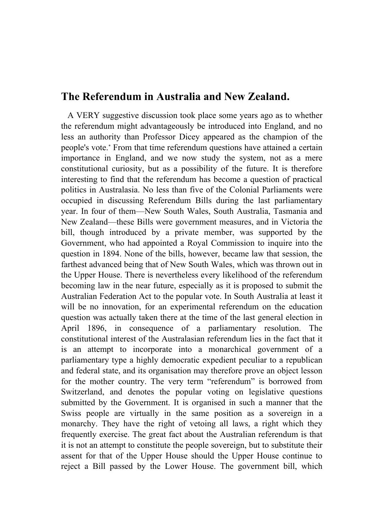# **The Referendum in Australia and New Zealand.**

 A VERY suggestive discussion took place some years ago as to whether the referendum might advantageously be introduced into England, and no less an authority than Professor Dicey appeared as the champion of the people's vote.\* From that time referendum questions have attained a certain importance in England, and we now study the system, not as a mere constitutional curiosity, but as a possibility of the future. It is therefore interesting to find that the referendum has become a question of practical politics in Australasia. No less than five of the Colonial Parliaments were occupied in discussing Referendum Bills during the last parliamentary year. In four of them—New South Wales, South Australia, Tasmania and New Zealand—these Bills were government measures, and in Victoria the bill, though introduced by a private member, was supported by the Government, who had appointed a Royal Commission to inquire into the question in 1894. None of the bills, however, became law that session, the farthest advanced being that of New South Wales, which was thrown out in the Upper House. There is nevertheless every likelihood of the referendum becoming law in the near future, especially as it is proposed to submit the Australian Federation Act to the popular vote. In South Australia at least it will be no innovation, for an experimental referendum on the education question was actually taken there at the time of the last general election in April 1896, in consequence of a parliamentary resolution. The constitutional interest of the Australasian referendum lies in the fact that it is an attempt to incorporate into a monarchical government of a parliamentary type a highly democratic expedient peculiar to a republican and federal state, and its organisation may therefore prove an object lesson for the mother country. The very term "referendum" is borrowed from Switzerland, and denotes the popular voting on legislative questions submitted by the Government. It is organised in such a manner that the Swiss people are virtually in the same position as a sovereign in a monarchy. They have the right of vetoing all laws, a right which they frequently exercise. The great fact about the Australian referendum is that it is not an attempt to constitute the people sovereign, but to substitute their assent for that of the Upper House should the Upper House continue to reject a Bill passed by the Lower House. The government bill, which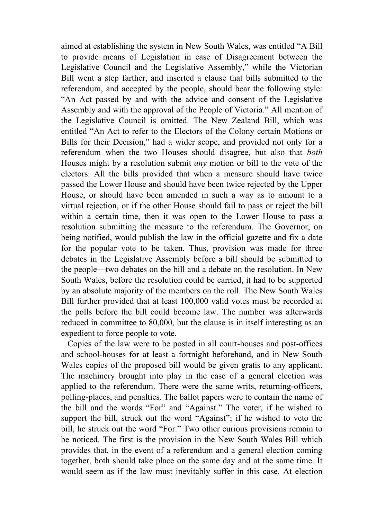aimed at establishing the system in New South Wales, was entitled "A Bill to provide means of Legislation in case of Disagreement between the Legislative Council and the Legislative Assembly," while the Victorian Bill went a step farther, and inserted a clause that bills submitted to the referendum, and accepted by the people, should bear the following style: "An Act passed by and with the advice and consent of the Legislative Assembly and with the approval of the People of Victoria." All mention of the Legislative Council is omitted. The New Zealand Bill, which was entitled "An Act to refer to the Electors of the Colony certain Motions or Bills for their Decision," had a wider scope, and provided not only for a referendum when the two Houses should disagree, but also that *both* Houses might by a resolution submit *any* motion or bill to the vote of the electors. All the bills provided that when a measure should have twice passed the Lower House and should have been twice rejected by the Upper House, or should have been amended in such a way as to amount to a virtual rejection, or if the other House should fail to pass or reject the bill within a certain time, then it was open to the Lower House to pass a resolution submitting the measure to the referendum. The Governor, on being notified, would publish the law in the official gazette and fix a date for the popular vote to be taken. Thus, provision was made for three debates in the Legislative Assembly before a bill should be submitted to the people—two debates on the bill and a debate on the resolution. In New South Wales, before the resolution could be carried, it had to be supported by an absolute majority of the members on the roll. The New South Wales Bill further provided that at least 100,000 valid votes must be recorded at the polls before the bill could become law. The number was afterwards reduced in committee to 80,000, but the clause is in itself interesting as an expedient to force people to vote.

 Copies of the law were to be posted in all court-houses and post-offices and school-houses for at least a fortnight beforehand, and in New South Wales copies of the proposed bill would be given gratis to any applicant. The machinery brought into play in the case of a general election was applied to the referendum. There were the same writs, returning-officers, polling-places, and penalties. The ballot papers were to contain the name of the bill and the words "For" and "Against." The voter, if he wished to support the bill, struck out the word "Against"; if he wished to veto the bill, he struck out the word "For." Two other curious provisions remain to be noticed. The first is the provision in the New South Wales Bill which provides that, in the event of a referendum and a general election coming together, both should take place on the same day and at the same time. It would seem as if the law must inevitably suffer in this case. At election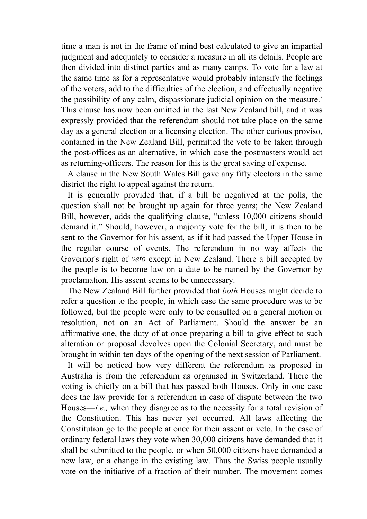time a man is not in the frame of mind best calculated to give an impartial judgment and adequately to consider a measure in all its details. People are then divided into distinct parties and as many camps. To vote for a law at the same time as for a representative would probably intensify the feelings of the voters, add to the difficulties of the election, and effectually negative the possibility of any calm, dispassionate judicial opinion on the measure.\* This clause has now been omitted in the last New Zealand bill, and it was expressly provided that the referendum should not take place on the same day as a general election or a licensing election. The other curious proviso, contained in the New Zealand Bill, permitted the vote to be taken through the post-offices as an alternative, in which case the postmasters would act as returning-officers. The reason for this is the great saving of expense.

 A clause in the New South Wales Bill gave any fifty electors in the same district the right to appeal against the return.

 It is generally provided that, if a bill be negatived at the polls, the question shall not be brought up again for three years; the New Zealand Bill, however, adds the qualifying clause, "unless 10,000 citizens should demand it." Should, however, a majority vote for the bill, it is then to be sent to the Governor for his assent, as if it had passed the Upper House in the regular course of events. The referendum in no way affects the Governor's right of *veto* except in New Zealand. There a bill accepted by the people is to become law on a date to be named by the Governor by proclamation. His assent seems to be unnecessary.

 The New Zealand Bill further provided that *both* Houses might decide to refer a question to the people, in which case the same procedure was to be followed, but the people were only to be consulted on a general motion or resolution, not on an Act of Parliament. Should the answer be an affirmative one, the duty of at once preparing a bill to give effect to such alteration or proposal devolves upon the Colonial Secretary, and must be brought in within ten days of the opening of the next session of Parliament.

 It will be noticed how very different the referendum as proposed in Australia is from the referendum as organised in Switzerland. There the voting is chiefly on a bill that has passed both Houses. Only in one case does the law provide for a referendum in case of dispute between the two Houses—*i.e.,* when they disagree as to the necessity for a total revision of the Constitution. This has never yet occurred. All laws affecting the Constitution go to the people at once for their assent or veto. In the case of ordinary federal laws they vote when 30,000 citizens have demanded that it shall be submitted to the people, or when 50,000 citizens have demanded a new law, or a change in the existing law. Thus the Swiss people usually vote on the initiative of a fraction of their number. The movement comes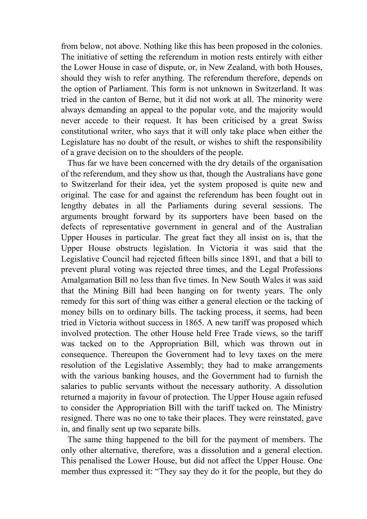from below, not above. Nothing like this has been proposed in the colonies. The initiative of setting the referendum in motion rests entirely with either the Lower House in case of dispute, or, in New Zealand, with both Houses, should they wish to refer anything. The referendum therefore, depends on the option of Parliament. This form is not unknown in Switzerland. It was tried in the canton of Berne, but it did not work at all. The minority were always demanding an appeal to the popular vote, and the majority would never accede to their request. It has been criticised by a great Swiss constitutional writer, who says that it will only take place when either the Legislature has no doubt of the result, or wishes to shift the responsibility of a grave decision on to the shoulders of the people.

 Thus far we have been concerned with the dry details of the organisation of the referendum, and they show us that, though the Australians have gone to Switzerland for their idea, yet the system proposed is quite new and original. The case for and against the referendum has been fought out in lengthy debates in all the Parliaments during several sessions. The arguments brought forward by its supporters have been based on the defects of representative government in general and of the Australian Upper Houses in particular. The great fact they all insist on is, that the Upper House obstructs legislation. In Victoria it was said that the Legislative Council had rejected fifteen bills since 1891, and that a bill to prevent plural voting was rejected three times, and the Legal Professions Amalgamation Bill no less than five times. In New South Wales it was said that the Mining Bill had been hanging on for twenty years. The only remedy for this sort of thing was either a general election or the tacking of money bills on to ordinary bills. The tacking process, it seems, had been tried in Victoria without success in 1865. A new tariff was proposed which involved protection. The other House held Free Trade views, so the tariff was tacked on to the Appropriation Bill, which was thrown out in consequence. Thereupon the Government had to levy taxes on the mere resolution of the Legislative Assembly; they had to make arrangements with the various banking houses, and the Government had to furnish the salaries to public servants without the necessary authority. A dissolution returned a majority in favour of protection. The Upper House again refused to consider the Appropriation Bill with the tariff tacked on. The Ministry resigned. There was no one to take their places. They were reinstated, gave in, and finally sent up two separate bills.

 The same thing happened to the bill for the payment of members. The only other alternative, therefore, was a dissolution and a general election. This penalised the Lower House, but did not affect the Upper House. One member thus expressed it: "They say they do it for the people, but they do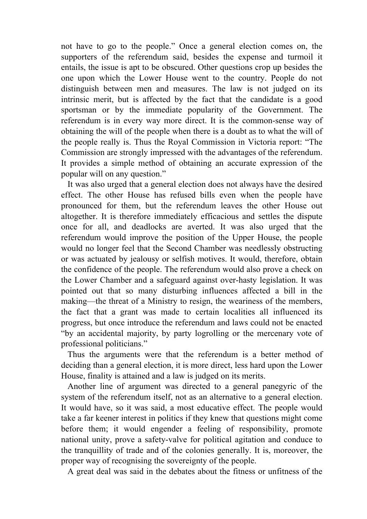not have to go to the people." Once a general election comes on, the supporters of the referendum said, besides the expense and turmoil it entails, the issue is apt to be obscured. Other questions crop up besides the one upon which the Lower House went to the country. People do not distinguish between men and measures. The law is not judged on its intrinsic merit, but is affected by the fact that the candidate is a good sportsman or by the immediate popularity of the Government. The referendum is in every way more direct. It is the common-sense way of obtaining the will of the people when there is a doubt as to what the will of the people really is. Thus the Royal Commission in Victoria report: "The Commission are strongly impressed with the advantages of the referendum. It provides a simple method of obtaining an accurate expression of the popular will on any question."

 It was also urged that a general election does not always have the desired effect. The other House has refused bills even when the people have pronounced for them, but the referendum leaves the other House out altogether. It is therefore immediately efficacious and settles the dispute once for all, and deadlocks are averted. It was also urged that the referendum would improve the position of the Upper House, the people would no longer feel that the Second Chamber was needlessly obstructing or was actuated by jealousy or selfish motives. It would, therefore, obtain the confidence of the people. The referendum would also prove a check on the Lower Chamber and a safeguard against over-hasty legislation. It was pointed out that so many disturbing influences affected a bill in the making—the threat of a Ministry to resign, the weariness of the members, the fact that a grant was made to certain localities all influenced its progress, but once introduce the referendum and laws could not be enacted "by an accidental majority, by party logrolling or the mercenary vote of professional politicians."

 Thus the arguments were that the referendum is a better method of deciding than a general election, it is more direct, less hard upon the Lower House, finality is attained and a law is judged on its merits.

 Another line of argument was directed to a general panegyric of the system of the referendum itself, not as an alternative to a general election. It would have, so it was said, a most educative effect. The people would take a far keener interest in politics if they knew that questions might come before them; it would engender a feeling of responsibility, promote national unity, prove a safety-valve for political agitation and conduce to the tranquillity of trade and of the colonies generally. It is, moreover, the proper way of recognising the sovereignty of the people.

A great deal was said in the debates about the fitness or unfitness of the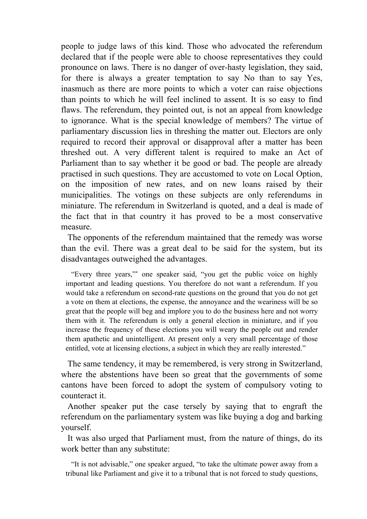people to judge laws of this kind. Those who advocated the referendum declared that if the people were able to choose representatives they could pronounce on laws. There is no danger of over-hasty legislation, they said, for there is always a greater temptation to say No than to say Yes, inasmuch as there are more points to which a voter can raise objections than points to which he will feel inclined to assent. It is so easy to find flaws. The referendum, they pointed out, is not an appeal from knowledge to ignorance. What is the special knowledge of members? The virtue of parliamentary discussion lies in threshing the matter out. Electors are only required to record their approval or disapproval after a matter has been threshed out. A very different talent is required to make an Act of Parliament than to say whether it be good or bad. The people are already practised in such questions. They are accustomed to vote on Local Option, on the imposition of new rates, and on new loans raised by their municipalities. The votings on these subjects are only referendums in miniature. The referendum in Switzerland is quoted, and a deal is made of the fact that in that country it has proved to be a most conservative measure.

 The opponents of the referendum maintained that the remedy was worse than the evil. There was a great deal to be said for the system, but its disadvantages outweighed the advantages.

 "Every three years,"\* one speaker said, "you get the public voice on highly important and leading questions. You therefore do not want a referendum. If you would take a referendum on second-rate questions on the ground that you do not get a vote on them at elections, the expense, the annoyance and the weariness will be so great that the people will beg and implore you to do the business here and not worry them with it. The referendum is only a general election in miniature, and if you increase the frequency of these elections you will weary the people out and render them apathetic and unintelligent. At present only a very small percentage of those entitled, vote at licensing elections, a subject in which they are really interested."

 The same tendency, it may be remembered, is very strong in Switzerland, where the abstentions have been so great that the governments of some cantons have been forced to adopt the system of compulsory voting to counteract it.

 Another speaker put the case tersely by saying that to engraft the referendum on the parliamentary system was like buying a dog and barking yourself.

 It was also urged that Parliament must, from the nature of things, do its work better than any substitute:

 "It is not advisable," one speaker argued, "to take the ultimate power away from a tribunal like Parliament and give it to a tribunal that is not forced to study questions,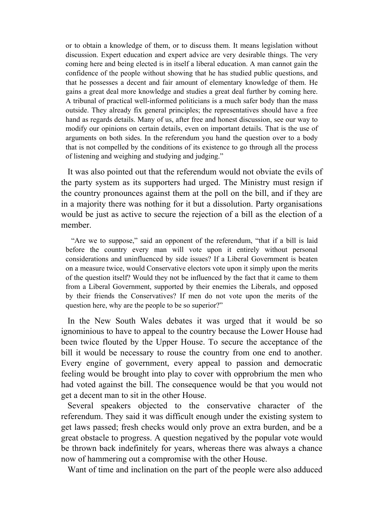or to obtain a knowledge of them, or to discuss them. It means legislation without discussion. Expert education and expert advice are very desirable things. The very coming here and being elected is in itself a liberal education. A man cannot gain the confidence of the people without showing that he has studied public questions, and that he possesses a decent and fair amount of elementary knowledge of them. He gains a great deal more knowledge and studies a great deal further by coming here. A tribunal of practical well-informed politicians is a much safer body than the mass outside. They already fix general principles; the representatives should have a free hand as regards details. Many of us, after free and honest discussion, see our way to modify our opinions on certain details, even on important details. That is the use of arguments on both sides. In the referendum you hand the question over to a body that is not compelled by the conditions of its existence to go through all the process of listening and weighing and studying and judging."

 It was also pointed out that the referendum would not obviate the evils of the party system as its supporters had urged. The Ministry must resign if the country pronounces against them at the poll on the bill, and if they are in a majority there was nothing for it but a dissolution. Party organisations would be just as active to secure the rejection of a bill as the election of a member.

 "Are we to suppose," said an opponent of the referendum, "that if a bill is laid before the country every man will vote upon it entirely without personal considerations and uninfluenced by side issues? If a Liberal Government is beaten on a measure twice, would Conservative electors vote upon it simply upon the merits of the question itself? Would they not be influenced by the fact that it came to them from a Liberal Government, supported by their enemies the Liberals, and opposed by their friends the Conservatives? If men do not vote upon the merits of the question here, why are the people to be so superior?"

 In the New South Wales debates it was urged that it would be so ignominious to have to appeal to the country because the Lower House had been twice flouted by the Upper House. To secure the acceptance of the bill it would be necessary to rouse the country from one end to another. Every engine of government, every appeal to passion and democratic feeling would be brought into play to cover with opprobrium the men who had voted against the bill. The consequence would be that you would not get a decent man to sit in the other House.

 Several speakers objected to the conservative character of the referendum. They said it was difficult enough under the existing system to get laws passed; fresh checks would only prove an extra burden, and be a great obstacle to progress. A question negatived by the popular vote would be thrown back indefinitely for years, whereas there was always a chance now of hammering out a compromise with the other House.

Want of time and inclination on the part of the people were also adduced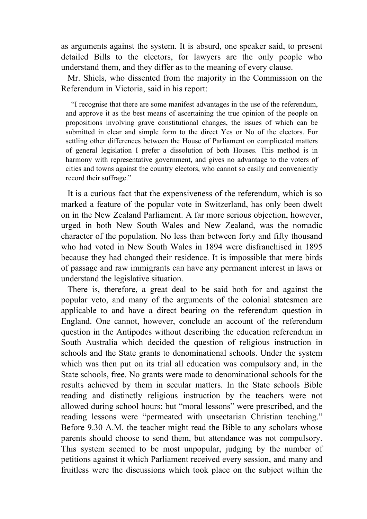as arguments against the system. It is absurd, one speaker said, to present detailed Bills to the electors, for lawyers are the only people who understand them, and they differ as to the meaning of every clause.

 Mr. Shiels, who dissented from the majority in the Commission on the Referendum in Victoria, said in his report:

 "I recognise that there are some manifest advantages in the use of the referendum, and approve it as the best means of ascertaining the true opinion of the people on propositions involving grave constitutional changes, the issues of which can be submitted in clear and simple form to the direct Yes or No of the electors. For settling other differences between the House of Parliament on complicated matters of general legislation I prefer a dissolution of both Houses. This method is in harmony with representative government, and gives no advantage to the voters of cities and towns against the country electors, who cannot so easily and conveniently record their suffrage."

 It is a curious fact that the expensiveness of the referendum, which is so marked a feature of the popular vote in Switzerland, has only been dwelt on in the New Zealand Parliament. A far more serious objection, however, urged in both New South Wales and New Zealand, was the nomadic character of the population. No less than between forty and fifty thousand who had voted in New South Wales in 1894 were disfranchised in 1895 because they had changed their residence. It is impossible that mere birds of passage and raw immigrants can have any permanent interest in laws or understand the legislative situation.

 There is, therefore, a great deal to be said both for and against the popular veto, and many of the arguments of the colonial statesmen are applicable to and have a direct bearing on the referendum question in England. One cannot, however, conclude an account of the referendum question in the Antipodes without describing the education referendum in South Australia which decided the question of religious instruction in schools and the State grants to denominational schools. Under the system which was then put on its trial all education was compulsory and, in the State schools, free. No grants were made to denominational schools for the results achieved by them in secular matters. In the State schools Bible reading and distinctly religious instruction by the teachers were not allowed during school hours; but "moral lessons" were prescribed, and the reading lessons were "permeated with unsectarian Christian teaching." Before 9.30 A.M. the teacher might read the Bible to any scholars whose parents should choose to send them, but attendance was not compulsory. This system seemed to be most unpopular, judging by the number of petitions against it which Parliament received every session, and many and fruitless were the discussions which took place on the subject within the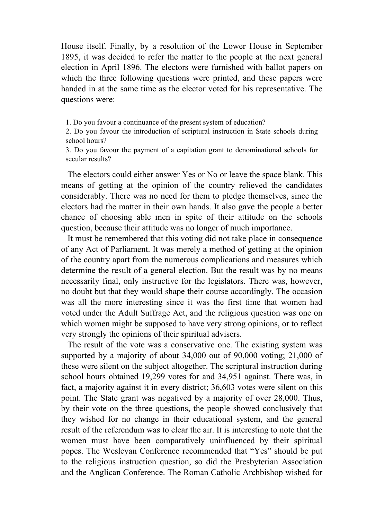House itself. Finally, by a resolution of the Lower House in September 1895, it was decided to refer the matter to the people at the next general election in April 1896. The electors were furnished with ballot papers on which the three following questions were printed, and these papers were handed in at the same time as the elector voted for his representative. The questions were:

1. Do you favour a continuance of the present system of education?

2. Do you favour the introduction of scriptural instruction in State schools during school hours?

3. Do you favour the payment of a capitation grant to denominational schools for secular results?

 The electors could either answer Yes or No or leave the space blank. This means of getting at the opinion of the country relieved the candidates considerably. There was no need for them to pledge themselves, since the electors had the matter in their own hands. It also gave the people a better chance of choosing able men in spite of their attitude on the schools question, because their attitude was no longer of much importance.

 It must be remembered that this voting did not take place in consequence of any Act of Parliament. It was merely a method of getting at the opinion of the country apart from the numerous complications and measures which determine the result of a general election. But the result was by no means necessarily final, only instructive for the legislators. There was, however, no doubt but that they would shape their course accordingly. The occasion was all the more interesting since it was the first time that women had voted under the Adult Suffrage Act, and the religious question was one on which women might be supposed to have very strong opinions, or to reflect very strongly the opinions of their spiritual advisers.

 The result of the vote was a conservative one. The existing system was supported by a majority of about 34,000 out of 90,000 voting; 21,000 of these were silent on the subject altogether. The scriptural instruction during school hours obtained 19,299 votes for and 34,951 against. There was, in fact, a majority against it in every district; 36,603 votes were silent on this point. The State grant was negatived by a majority of over 28,000. Thus, by their vote on the three questions, the people showed conclusively that they wished for no change in their educational system, and the general result of the referendum was to clear the air. It is interesting to note that the women must have been comparatively uninfluenced by their spiritual popes. The Wesleyan Conference recommended that "Yes" should be put to the religious instruction question, so did the Presbyterian Association and the Anglican Conference. The Roman Catholic Archbishop wished for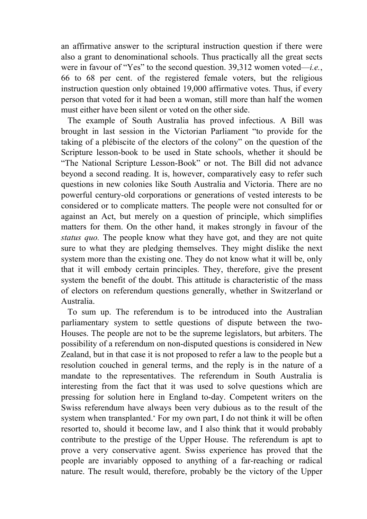an affirmative answer to the scriptural instruction question if there were also a grant to denominational schools. Thus practically all the great sects were in favour of "Yes" to the second question. 39,312 women voted—*i.e.*, 66 to 68 per cent. of the registered female voters, but the religious instruction question only obtained 19,000 affirmative votes. Thus, if every person that voted for it had been a woman, still more than half the women must either have been silent or voted on the other side.

 The example of South Australia has proved infectious. A Bill was brought in last session in the Victorian Parliament "to provide for the taking of a plébiscite of the electors of the colony" on the question of the Scripture lesson-book to be used in State schools, whether it should be "The National Scripture Lesson-Book" or not. The Bill did not advance beyond a second reading. It is, however, comparatively easy to refer such questions in new colonies like South Australia and Victoria. There are no powerful century-old corporations or generations of vested interests to be considered or to complicate matters. The people were not consulted for or against an Act, but merely on a question of principle, which simplifies matters for them. On the other hand, it makes strongly in favour of the *status quo.* The people know what they have got, and they are not quite sure to what they are pledging themselves. They might dislike the next system more than the existing one. They do not know what it will be, only that it will embody certain principles. They, therefore, give the present system the benefit of the doubt. This attitude is characteristic of the mass of electors on referendum questions generally, whether in Switzerland or Australia.

 To sum up. The referendum is to be introduced into the Australian parliamentary system to settle questions of dispute between the two-Houses. The people are not to be the supreme legislators, but arbiters. The possibility of a referendum on non-disputed questions is considered in New Zealand, but in that case it is not proposed to refer a law to the people but a resolution couched in general terms, and the reply is in the nature of a mandate to the representatives. The referendum in South Australia is interesting from the fact that it was used to solve questions which are pressing for solution here in England to-day. Competent writers on the Swiss referendum have always been very dubious as to the result of the system when transplanted.\* For my own part, I do not think it will be often resorted to, should it become law, and I also think that it would probably contribute to the prestige of the Upper House. The referendum is apt to prove a very conservative agent. Swiss experience has proved that the people are invariably opposed to anything of a far-reaching or radical nature. The result would, therefore, probably be the victory of the Upper